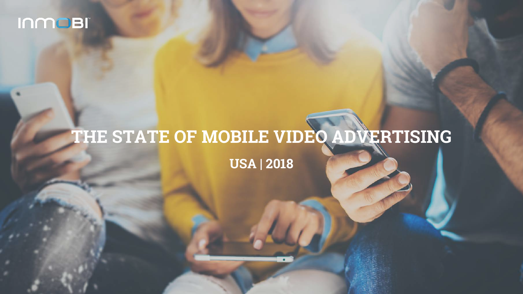# **THE STATE OF MOBILE VIDEO ADVERTISING USA | 2018**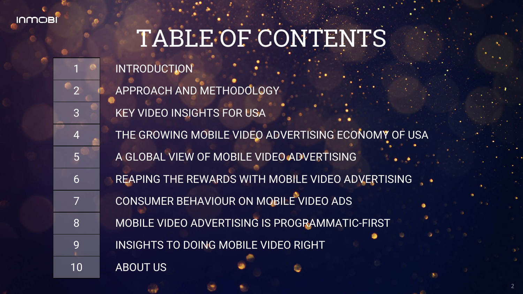**INWOBI** 

# TABLE OF CONTENTS

APPROACH AND METHODOLOGY KEY VIDEO INSIGHTS FOR USA THE GROWING MOBILE VIDEO ADVERTISING ECONOMY OF USA A GLOBAL VIEW OF MOBILE VIDEO ADVERTISING 6 REAPING THE REWARDS WITH MOBILE VIDEO ADVERTISING .. CONSUMER BEHAVIOUR ON MOBILE VIDEO ADS MOBILE VIDEO ADVERTISING IS PROGRAMMATIC-FIRST 9 INSIGHTS TO DOING MOBILE VIDEO RIGHT

**INTRODUCTION**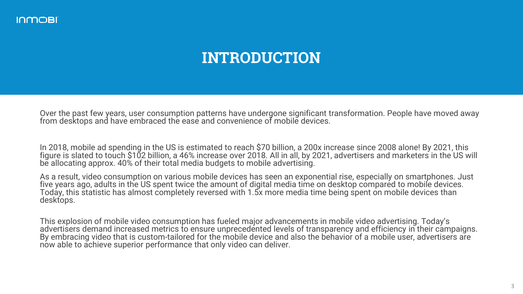# **INTRODUCTION**

Over the past few years, user consumption patterns have undergone significant transformation. People have moved away from desktops and have embraced the ease and convenience of mobile devices.

In 2018, mobile ad spending in the US is estimated to reach \$70 billion, a 200x increase since 2008 alone! By 2021, this figure is slated to touch \$102 billion, a 46% increase over 2018. All in all, by 2021, advertisers and marketers in the US will be allocating approx. 40% of their total media budgets to mobile advertising.

As a result, video consumption on various mobile devices has seen an exponential rise, especially on smartphones. Just five years ago, adults in the US spent twice the amount of digital media time on desktop compared to mobile devices. Today, this statistic has almost completely reversed with 1.5x more media time being spent on mobile devices than desktops.

This explosion of mobile video consumption has fueled major advancements in mobile video advertising. Today's advertisers demand increased metrics to ensure unprecedented levels of transparency and efficiency in their campaigns. By embracing video that is custom-tailored for the mobile device and also the behavior of a mobile user, advertisers are now able to achieve superior performance that only video can deliver.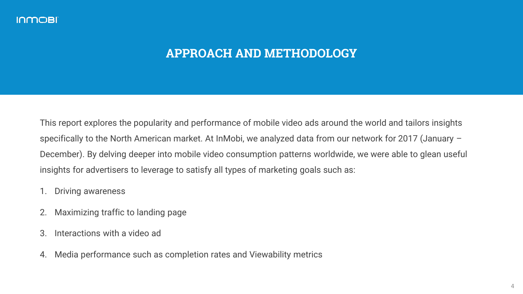## **APPROACH AND METHODOLOGY**

This report explores the popularity and performance of mobile video ads around the world and tailors insights specifically to the North American market. At InMobi, we analyzed data from our network for 2017 (January – December). By delving deeper into mobile video consumption patterns worldwide, we were able to glean useful insights for advertisers to leverage to satisfy all types of marketing goals such as:

- 1. Driving awareness
- 2. Maximizing traffic to landing page
- 3. Interactions with a video ad
- 4. Media performance such as completion rates and Viewability metrics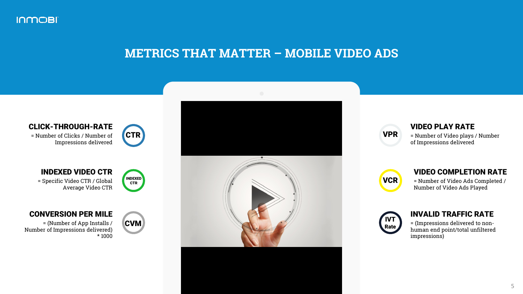

#### **METRICS THAT MATTER – MOBILE VIDEO ADS**



VPR

#### VIDEO PLAY RATE

= Number of Video plays / Number of Impressions delivered

| <b>VCR</b> |  |
|------------|--|
|            |  |

#### VIDEO COMPLETION RATE

= Number of Video Ads Completed / Number of Video Ads Played



#### INVALID TRAFFIC RATE

= (Impressions delivered to nonhuman end point/total unfiltered impressions)

#### CLICK-THROUGH-RATE

= Number of Clicks / Number of Impressions delivered



INDEXED **CTR** 

#### INDEXED VIDEO CTR

= Specific Video CTR / Global Average Video CTR

#### CONVERSION PER MILE

= (Number of App Installs / Number of Impressions delivered) \* 1000

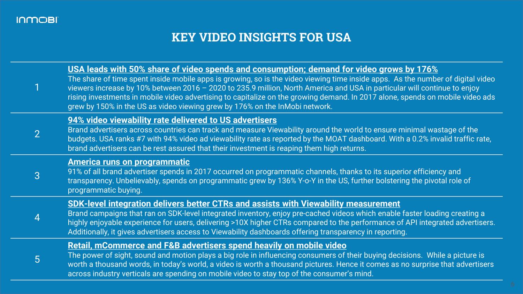# **KEY VIDEO INSIGHTS FOR USA**

|                | USA leads with 50% share of video spends and consumption; demand for video grows by 176%<br>The share of time spent inside mobile apps is growing, so is the video viewing time inside apps. As the number of digital video<br>viewers increase by 10% between 2016 - 2020 to 235.9 million, North America and USA in particular will continue to enjoy<br>rising investments in mobile video advertising to capitalize on the growing demand. In 2017 alone, spends on mobile video ads<br>grew by 150% in the US as video viewing grew by 176% on the InMobi network. |
|----------------|-------------------------------------------------------------------------------------------------------------------------------------------------------------------------------------------------------------------------------------------------------------------------------------------------------------------------------------------------------------------------------------------------------------------------------------------------------------------------------------------------------------------------------------------------------------------------|
| $\overline{2}$ | 94% video viewability rate delivered to US advertisers<br>Brand advertisers across countries can track and measure Viewability around the world to ensure minimal wastage of the<br>budgets. USA ranks #7 with 94% video ad viewability rate as reported by the MOAT dashboard. With a 0.2% invalid traffic rate,<br>brand advertisers can be rest assured that their investment is reaping them high returns.                                                                                                                                                          |
| 3              | <b>America runs on programmatic</b><br>91% of all brand advertiser spends in 2017 occurred on programmatic channels, thanks to its superior efficiency and<br>transparency. Unbelievably, spends on programmatic grew by 136% Y-o-Y in the US, further bolstering the pivotal role of<br>programmatic buying.                                                                                                                                                                                                                                                           |
|                | <b>SDK-level integration delivers better CTRs and assists with Viewability measurement</b><br>Brand campaigns that ran on SDK-level integrated inventory, enjoy pre-cached videos which enable faster loading creating a<br>highly enjoyable experience for users, delivering >10X higher CTRs compared to the performance of API integrated advertisers.<br>Additionally, it gives advertisers access to Viewability dashboards offering transparency in reporting.                                                                                                    |
| 5              | <b>Retail, mCommerce and F&amp;B advertisers spend heavily on mobile video</b><br>The power of sight, sound and motion plays a big role in influencing consumers of their buying decisions. While a picture is<br>worth a thousand words, in today's world, a video is worth a thousand pictures. Hence it comes as no surprise that advertisers<br>across industry verticals are spending on mobile video to stay top of the consumer's mind.                                                                                                                          |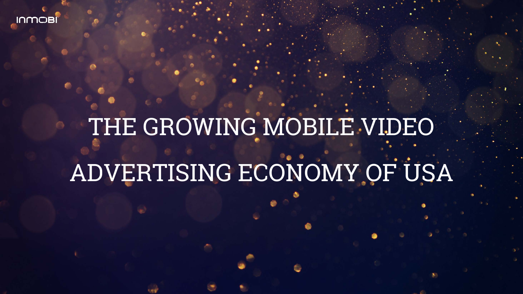# THE GROWING MOBILE VIDEO

# ADVERTISING ECONOMY OF USA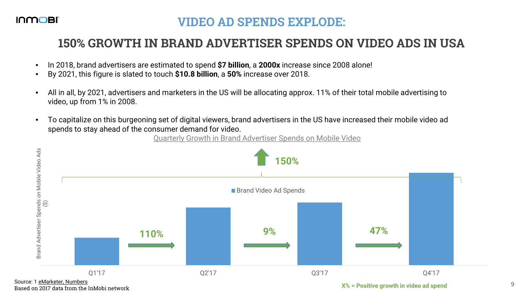#### **VIDEO AD SPENDS EXPLODE:**

#### **150% GROWTH IN BRAND ADVERTISER SPENDS ON VIDEO ADS IN USA**

- In 2018, brand advertisers are estimated to spend **\$7 billion**, a **2000x** increase since 2008 alone!
- By 2021, this figure is slated to touch **\$10.8 billion**, a **50%** increase over 2018.
- All in all, by 2021, advertisers and marketers in the US will be allocating approx. 11% of their total mobile advertising to video, up from 1% in 2008.
- To capitalize on this burgeoning set of digital viewers, brand advertisers in the US have increased their mobile video ad spends to stay ahead of the consumer demand for video.

Quarterly Growth in Brand Advertiser Spends on Mobile Video



Source: 1 [eMarketer, Numbers](https://numbers-na1.emarketer.com/584b26021403070290f93a57/5851918a0626310a2c186a4f)<br>Based on 2017 data from the InMobi network

**Based on 2017 September 2017 data from 2017 data from the Indian September 2017 12:33 September 2017 12:33 September 2017 12:33 September 2017 12:33 September 2017 12:33 September 2017 12:33 September 2017 12:33 September**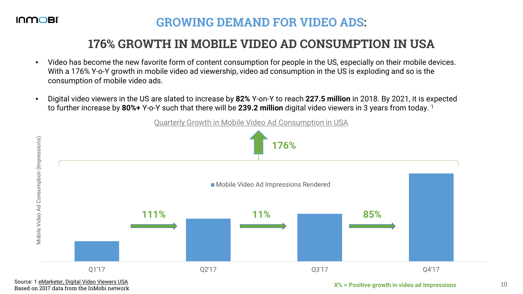## **GROWING DEMAND FOR VIDEO ADS:**

## **176% GROWTH IN MOBILE VIDEO AD CONSUMPTION IN USA**

- Video has become the new favorite form of content consumption for people in the US, especially on their mobile devices. With a 176% Y-o-Y growth in mobile video ad viewership, video ad consumption in the US is exploding and so is the consumption of mobile video ads.
- Digital video viewers in the US are slated to increase by **82%** Y-on-Y to reach **227.5 million** in 2018. By 2021, it is expected to further increase by **80%+** Y-o-Y such that there will be **239.2 million** digital video viewers in 3 years from today. 1



Source: 1 [eMarketer, Digital Video Viewers USA](http://www.emarketer.com/Chart/US-Digital-Video-Viewers-Penetration-2017-2021-millions-of-internet-users/204602)<br>Based on 2017 data from the InMobi network

 $X\%$  = Positive growth in video ad impressions 10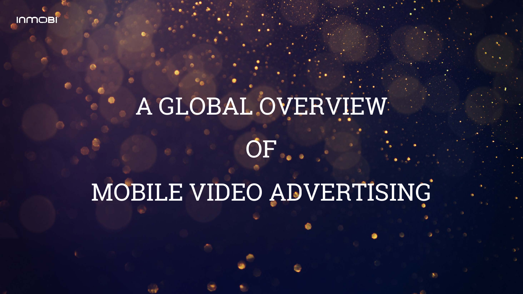# A GLOBAL OVERVIEW OF

# MOBILE VIDEO ADVERTISING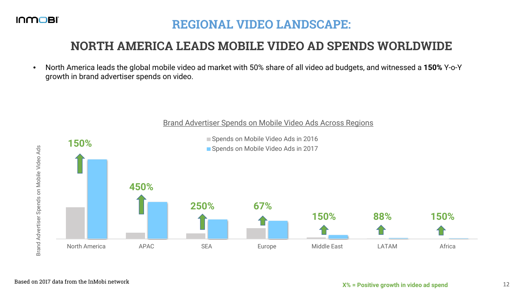## **REGIONAL VIDEO LANDSCAPE:**

## **NORTH AMERICA LEADS MOBILE VIDEO AD SPENDS WORLDWIDE**

• North America leads the global mobile video ad market with 50% share of all video ad budgets, and witnessed a **150%** Y-o-Y growth in brand advertiser spends on video.



#### Brand Advertiser Spends on Mobile Video Ads Across Regions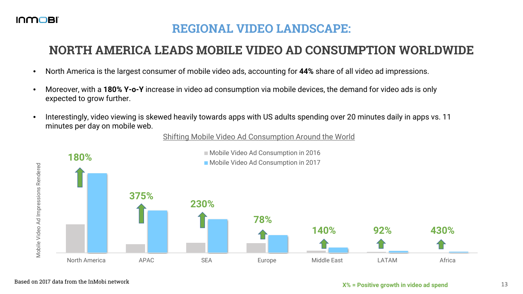## **REGIONAL VIDEO LANDSCAPE:**

## **NORTH AMERICA LEADS MOBILE VIDEO AD CONSUMPTION WORLDWIDE**

- North America is the largest consumer of mobile video ads, accounting for **44%** share of all video ad impressions.
- Moreover, with a **180% Y-o-Y** increase in video ad consumption via mobile devices, the demand for video ads is only expected to grow further.
- Interestingly, video viewing is skewed heavily towards apps with US adults spending over 20 minutes daily in apps vs. 11 minutes per day on mobile web.

#### Shifting Mobile Video Ad Consumption Around the World

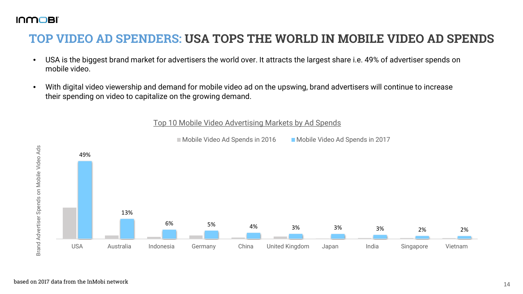## **TOP VIDEO AD SPENDERS: USA TOPS THE WORLD IN MOBILE VIDEO AD SPENDS**

- USA is the biggest brand market for advertisers the world over. It attracts the largest share i.e. 49% of advertiser spends on mobile video.
- With digital video viewership and demand for mobile video ad on the upswing, brand advertisers will continue to increase their spending on video to capitalize on the growing demand.



#### Top 10 Mobile Video Advertising Markets by Ad Spends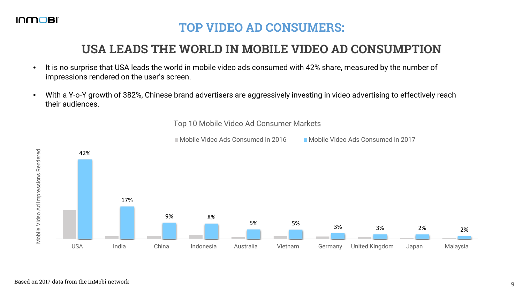

Mobile Video Ad Impressions Rendered

Mobile Video Ad Impressions Rendered

## **TOP VIDEO AD CONSUMERS:**

## **USA LEADS THE WORLD IN MOBILE VIDEO AD CONSUMPTION**

- It is no surprise that USA leads the world in mobile video ads consumed with 42% share, measured by the number of impressions rendered on the user's screen.
- With a Y-o-Y growth of 382%, Chinese brand advertisers are aggressively investing in video advertising to effectively reach their audiences.

#### Top 10 Mobile Video Ad Consumer Markets



Mobile Video Ads Consumed in 2016 Mobile Video Ads Consumed in 2017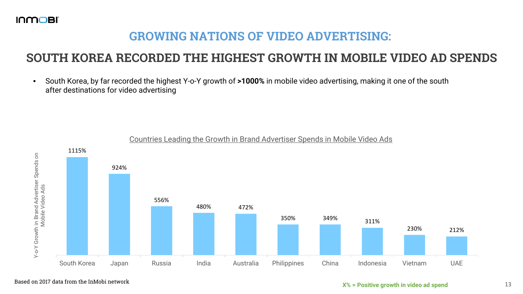## **GROWING NATIONS OF VIDEO ADVERTISING:**

#### **SOUTH KOREA RECORDED THE HIGHEST GROWTH IN MOBILE VIDEO AD SPENDS**

• South Korea, by far recorded the highest Y-o-Y growth of **>1000%** in mobile video advertising, making it one of the south after destinations for video advertising



#### Countries Leading the Growth in Brand Advertiser Spends in Mobile Video Ads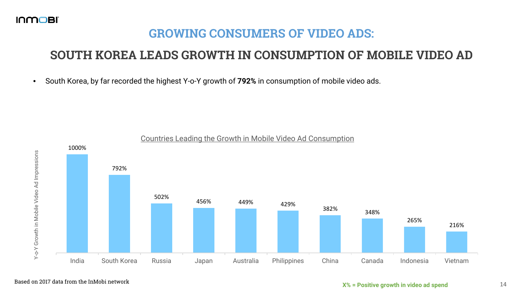## **GROWING CONSUMERS OF VIDEO ADS:**

# **SOUTH KOREA LEADS GROWTH IN CONSUMPTION OF MOBILE VIDEO AD**

• South Korea, by far recorded the highest Y-o-Y growth of **792%** in consumption of mobile video ads.



#### Based on 2017 data from the InMobi network **14** and the Inmustum of the Index of the Inmustum of the Inmustum of the Index of the Index of the Index of the Index of the Index of the Index of the Index of the Index of the I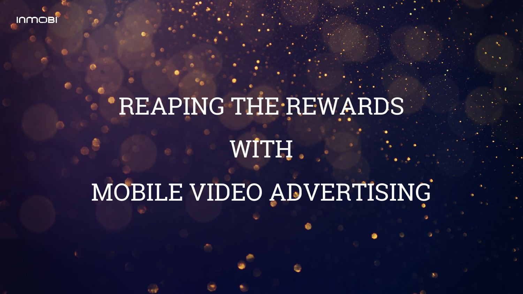# *'REAPING THE REWARDS* WITH

# MOBILE VIDEO ADVERTISING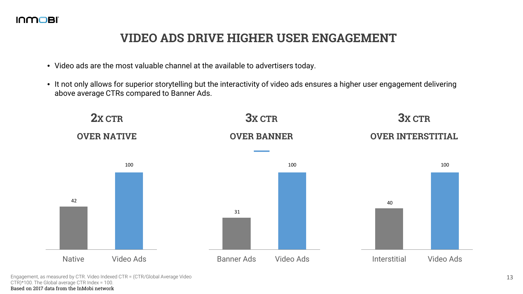#### **VIDEO ADS DRIVE HIGHER USER ENGAGEMENT**

- Video ads are the most valuable channel at the available to advertisers today.
- It not only allows for superior storytelling but the interactivity of video ads ensures a higher user engagement delivering above average CTRs compared to Banner Ads.



Engagement, as measured by CTR. Video Indexed CTR = (CTR/Global Average Video CTR)\*100. The Global average CTR Index = 100. Based on 2017 data from the InMobi network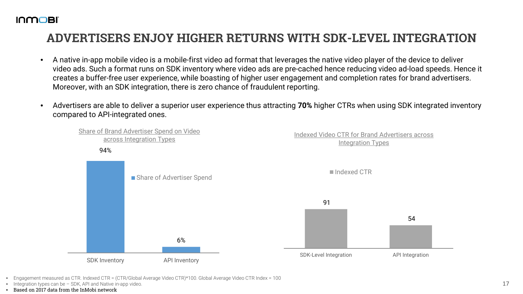#### **ADVERTISERS ENJOY HIGHER RETURNS WITH SDK-LEVEL INTEGRATION**

- A native in-app mobile video is a mobile-first video ad format that leverages the native video player of the device to deliver video ads. Such a format runs on SDK inventory where video ads are pre-cached hence reducing video ad-load speeds. Hence it creates a buffer-free user experience, while boasting of higher user engagement and completion rates for brand advertisers. Moreover, with an SDK integration, there is zero chance of fraudulent reporting.
- Advertisers are able to deliver a superior user experience thus attracting **70%** higher CTRs when using SDK integrated inventory compared to API-integrated ones.



- Engagement measured as CTR. Indexed CTR = (CTR/Global Average Video CTR)\*100. Global Average Video CTR Index = 100
- Integration types can be SDK, API and Native in-app video.
- Based on 2017 data from the InMobi network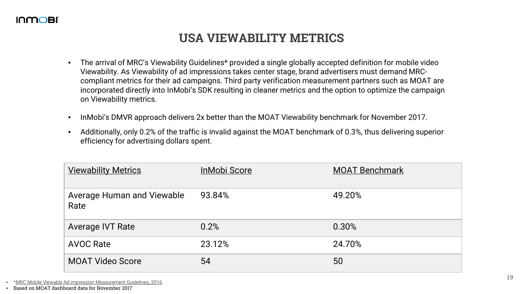#### **USA VIEWABILITY METRICS**

- The arrival of MRC's Viewability Guidelines\* provided a single globally accepted definition for mobile video Viewability. As Viewability of ad impressions takes center stage, brand advertisers must demand MRCcompliant metrics for their ad campaigns. Third party verification measurement partners such as MOAT are incorporated directly into InMobi's SDK resulting in cleaner metrics and the option to optimize the campaign on Viewability metrics.
- InMobi's DMVR approach delivers 2x better than the MOAT Viewability benchmark for November 2017.
- Additionally, only 0.2% of the traffic is invalid against the MOAT benchmark of 0.3%, thus delivering superior efficiency for advertising dollars spent.

| <b>Viewability Metrics</b>                | <b>InMobi Score</b> | <b>MOAT Benchmark</b> |
|-------------------------------------------|---------------------|-----------------------|
| <b>Average Human and Viewable</b><br>Rate | 93.84%              | 49.20%                |
| <b>Average IVT Rate</b>                   | 0.2%                | 0.30%                 |
| <b>AVOC Rate</b>                          | 23.12%              | 24.70%                |
| <b>MOAT Video Score</b>                   | 54                  | 50                    |

- \*[MRC Mobile Viewable Ad impression Measurement Guidelines, 2016](http://measurementnow.net/wp-content/uploads/2015/01/FINAL-062816-Mobile-Viewable-Guidelines-Final-1.pdf)
- Based on MOAT dashboard data for November 2017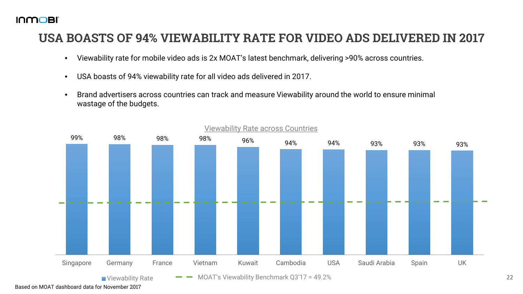#### **USA BOASTS OF 94% VIEWABILITY RATE FOR VIDEO ADS DELIVERED IN 2017**

- Viewability rate for mobile video ads is 2x MOAT's latest benchmark, delivering >90% across countries.
- USA boasts of 94% viewability rate for all video ads delivered in 2017.
- Brand advertisers across countries can track and measure Viewability around the world to ensure minimal wastage of the budgets.



Viewability Rate across Countries

Based on MOAT dashboard data for November 2017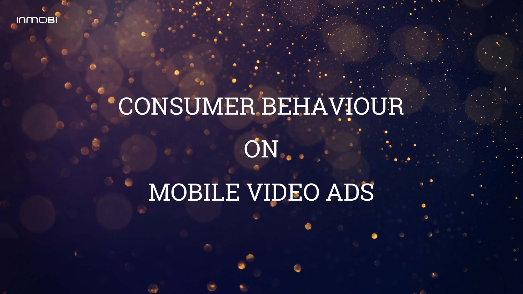# CONSUMER BEHAVIOUR **ON**

# MOBILE VIDEO ADS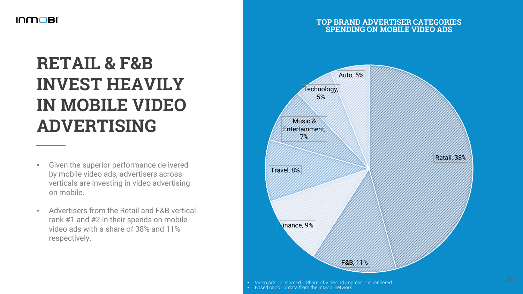# **RETAIL & F&B INVEST HEAVILY IN MOBILE VIDEO ADVERTISING**

- Given the superior performance delivered by mobile video ads, advertisers across verticals are investing in video advertising on mobile.
- Advertisers from the Retail and F&B vertical rank #1 and #2 in their spends on mobile video ads with a share of 38% and 11% respectively.

#### **TOP BRAND ADVERTISER CATEGORIES SPENDING ON MOBILE VIDEO ADS**



Video Ads Consumed = Share of Video ad impressions rendered<br>Based on 2017 data from the InMobi network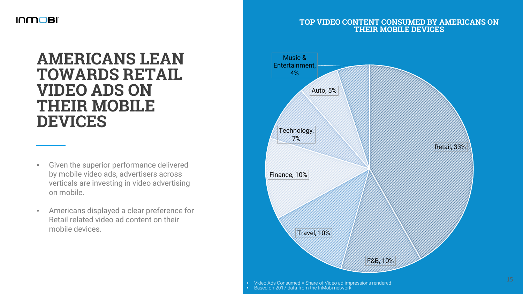#### **TOP VIDEO CONTENT CONSUMED BY AMERICANS ON THEIR MOBILE DEVICES**

# **AMERICANS LEAN TOWARDS RETAIL VIDEO ADS ON THEIR MOBILE DEVICES**

- Given the superior performance delivered by mobile video ads, advertisers across verticals are investing in video advertising on mobile.
- Americans displayed a clear preference for Retail related video ad content on their mobile devices.



• Video Ads Consumed = Share of Video ad impressions rendered • Based on 2017 data from the InMobi network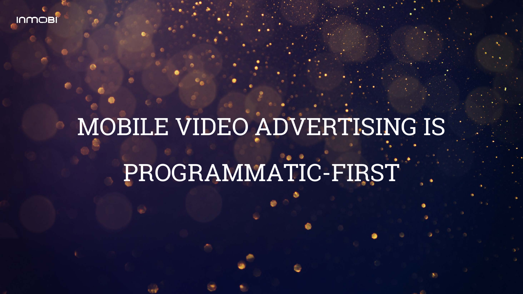# MOBILE VIDEO ADVERTISING IS

# PROGRAMMATIC-FIRST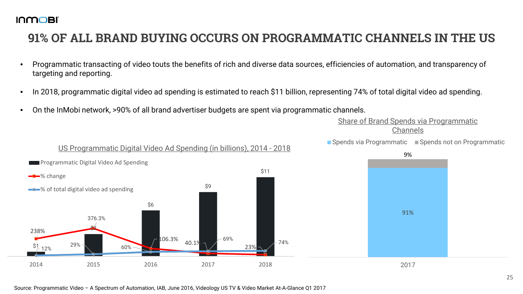## **91% OF ALL BRAND BUYING OCCURS ON PROGRAMMATIC CHANNELS IN THE US**

- Programmatic transacting of video touts the benefits of rich and diverse data sources, efficiencies of automation, and transparency of targeting and reporting.
- In 2018, programmatic digital video ad spending is estimated to reach \$11 billion, representing 74% of total digital video ad spending.
- On the InMobi network, >90% of all brand advertiser budgets are spent via programmatic channels.

Share of Brand Spends via Programmatic Channels

■ Spends via Programmatic ■ Spends not on Programmatic

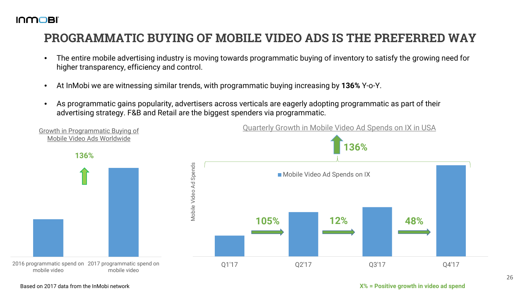## **PROGRAMMATIC BUYING OF MOBILE VIDEO ADS IS THE PREFERRED WAY**

- The entire mobile advertising industry is moving towards programmatic buying of inventory to satisfy the growing need for higher transparency, efficiency and control.
- At InMobi we are witnessing similar trends, with programmatic buying increasing by **136%** Y-o-Y.
- As programmatic gains popularity, advertisers across verticals are eagerly adopting programmatic as part of their advertising strategy. F&B and Retail are the biggest spenders via programmatic.



Based on 2017 data from the InMobi network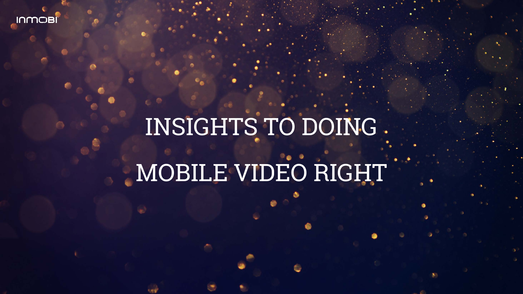# INSIGHTS TO DOING

# MOBILE VIDEO RIGHT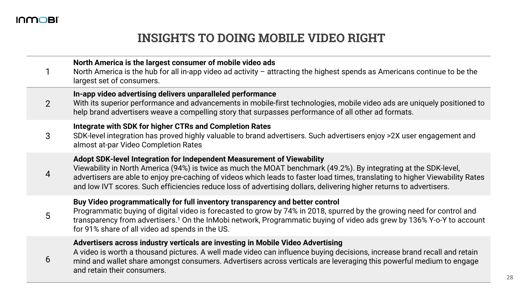#### **INSIGHTS TO DOING MOBILE VIDEO RIGHT**

|   | North America is the largest consumer of mobile video ads<br>North America is the hub for all in-app video ad activity - attracting the highest spends as Americans continue to be the<br>largest set of consumers.                                                                                                                                                                                                                                |
|---|----------------------------------------------------------------------------------------------------------------------------------------------------------------------------------------------------------------------------------------------------------------------------------------------------------------------------------------------------------------------------------------------------------------------------------------------------|
| 2 | In-app video advertising delivers unparalleled performance<br>With its superior performance and advancements in mobile-first technologies, mobile video ads are uniquely positioned to<br>help brand advertisers weave a compelling story that surpasses performance of all other ad formats.                                                                                                                                                      |
| 3 | Integrate with SDK for higher CTRs and Completion Rates<br>SDK-level integration has proved highly valuable to brand advertisers. Such advertisers enjoy >2X user engagement and<br>almost at-par Video Completion Rates                                                                                                                                                                                                                           |
| 4 | Adopt SDK-level Integration for Independent Measurement of Viewability<br>Viewability in North America (94%) is twice as much the MOAT benchmark (49.2%). By integrating at the SDK-level,<br>advertisers are able to enjoy pre-caching of videos which leads to faster load times, translating to higher Viewability Rates<br>and low IVT scores. Such efficiencies reduce loss of advertising dollars, delivering higher returns to advertisers. |
| 5 | Buy Video programmatically for full inventory transparency and better control<br>Programmatic buying of digital video is forecasted to grow by 74% in 2018, spurred by the growing need for control and<br>transparency from advertisers. <sup>1</sup> On the InMobi network, Programmatic buying of video ads grew by 136% Y-o-Y to account<br>for 91% share of all video ad spends in the US.                                                    |
| 6 | Advertisers across industry verticals are investing in Mobile Video Advertising<br>A video is worth a thousand pictures. A well made video can influence buying decisions, increase brand recall and retain<br>mind and wallet share amongst consumers. Advertisers across verticals are leveraging this powerful medium to engage<br>and retain their consumers.                                                                                  |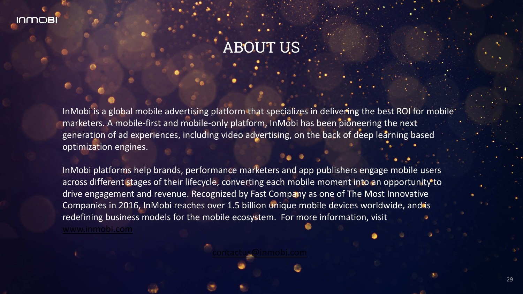# ABOUT US

InMobi is a global mobile advertising platform that specializes in delivering the best ROI for mobile marketers. A mobile-first and mobile-only platform, InMobi has been pioneering the next generation of ad experiences, including video advertising, on the back of deep learning based optimization engines.

InMobi platforms help brands, performance marketers and app publishers engage mobile users across different stages of their lifecycle, converting each mobile moment into an opportunity to drive engagement and revenue. Recognized by Fast Company as one of The Most Innovative Companies in 2016, InMobi reaches over 1.5 billion unique mobile devices worldwide, and is redefining business models for the mobile ecosystem. For more information, visit [www.inmobi.com](http://www.inmobi.com/)

[contactus@inmobi.com](mailto:contactus@inmobi.com)

29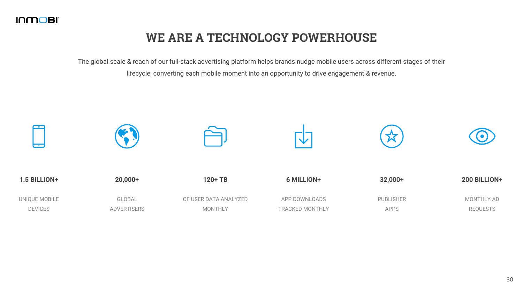### **WE ARE A TECHNOLOGY POWERHOUSE**

The global scale & reach of our full-stack advertising platform helps brands nudge mobile users across different stages of their lifecycle, converting each mobile moment into an opportunity to drive engagement & revenue.

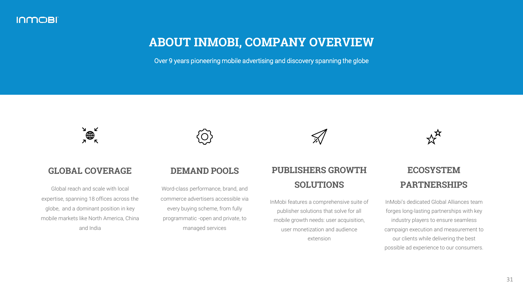#### **ABOUT INMOBI, COMPANY OVERVIEW**

Over 9 years pioneering mobile advertising and discovery spanning the globe



#### **GLOBAL COVERAGE**

Global reach and scale with local expertise, spanning 18 offices across the globe, and a dominant position in key mobile markets like North America, China and India

#### **DEMAND POOLS**

Word-class performance, brand, and commerce advertisers accessible via every buying scheme, from fully programmatic -open and private, to managed services

#### **PUBLISHERS GROWTH SOLUTIONS**

InMobi features a comprehensive suite of publisher solutions that solve for all mobile growth needs: user acquisition, user monetization and audience extension



#### **ECOSYSTEM PARTNERSHIPS**

InMobi's dedicated Global Alliances team forges long-lasting partnerships with key industry players to ensure seamless campaign execution and measurement to our clients while delivering the best possible ad experience to our consumers.